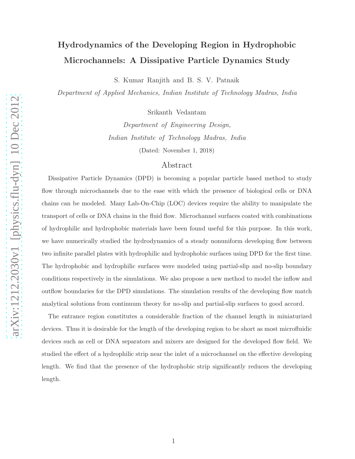# Hydrodynamics of the Developing Region in Hydrophobic Microchannels: A Dissipative Particle Dynamics Study

S. Kumar Ranjith and B. S. V. Patnaik

Department of Applied Mechanics, Indian Institute of Technology Madras, India

Srikanth Vedantam

Department of Engineering Design, Indian Institute of Technology Madras, India

(Dated: November 1, 2018)

# Abstract

Dissipative Particle Dynamics (DPD) is becoming a popular particle based method to study flow through microchannels due to the ease with which the presence of biological cells or DNA chains can be modeled. Many Lab-On-Chip (LOC) devices require the ability to manipulate the transport of cells or DNA chains in the fluid flow. Microchannel surfaces coated with combinations of hydrophilic and hydrophobic materials have been found useful for this purpose. In this work, we have numerically studied the hydrodynamics of a steady nonuniform developing flow between two infinite parallel plates with hydrophilic and hydrophobic surfaces using DPD for the first time. The hydrophobic and hydrophilic surfaces were modeled using partial-slip and no-slip boundary conditions respectively in the simulations. We also propose a new method to model the inflow and outflow boundaries for the DPD simulations. The simulation results of the developing flow match analytical solutions from continuum theory for no-slip and partial-slip surfaces to good accord.

The entrance region constitutes a considerable fraction of the channel length in miniaturized devices. Thus it is desirable for the length of the developing region to be short as most microfluidic devices such as cell or DNA separators and mixers are designed for the developed flow field. We studied the effect of a hydrophilic strip near the inlet of a microchannel on the effective developing length. We find that the presence of the hydrophobic strip significantly reduces the developing length.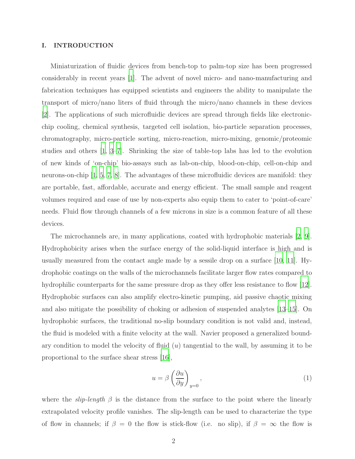# I. INTRODUCTION

Miniaturization of fluidic devices from bench-top to palm-top size has been progressed considerably in recent years [\[1\]](#page-16-0). The advent of novel micro- and nano-manufacturing and fabrication techniques has equipped scientists and engineers the ability to manipulate the transport of micro/nano liters of fluid through the micro/nano channels in these devices [\[2](#page-16-1)]. The applications of such microfluidic devices are spread through fields like electronicchip cooling, chemical synthesis, targeted cell isolation, bio-particle separation processes, chromatography, micro-particle sorting, micro-reaction, micro-mixing, genomic/proteomic studies and others [\[1,](#page-16-0) [3](#page-16-2)[–7\]](#page-16-3). Shrinking the size of table-top labs has led to the evolution of new kinds of 'on-chip' bio-assays such as lab-on-chip, blood-on-chip, cell-on-chip and neurons-on-chip [\[1,](#page-16-0) [5](#page-16-4), [7,](#page-16-3) [8\]](#page-16-5). The advantages of these microfluidic devices are manifold: they are portable, fast, affordable, accurate and energy efficient. The small sample and reagent volumes required and ease of use by non-experts also equip them to cater to 'point-of-care' needs. Fluid flow through channels of a few microns in size is a common feature of all these devices.

The microchannels are, in many applications, coated with hydrophobic materials [\[2](#page-16-1), [9\]](#page-16-6). Hydrophobicity arises when the surface energy of the solid-liquid interface is high and is usually measured from the contact angle made by a sessile drop on a surface [\[10,](#page-16-7) [11\]](#page-16-8). Hydrophobic coatings on the walls of the microchannels facilitate larger flow rates compared to hydrophilic counterparts for the same pressure drop as they offer less resistance to flow [\[12\]](#page-16-9). Hydrophobic surfaces can also amplify electro-kinetic pumping, aid passive chaotic mixing and also mitigate the possibility of choking or adhesion of suspended analytes [\[13](#page-16-10)[–15](#page-16-11)]. On hydrophobic surfaces, the traditional no-slip boundary condition is not valid and, instead, the fluid is modeled with a finite velocity at the wall. Navier proposed a generalized boundary condition to model the velocity of fluid  $(u)$  tangential to the wall, by assuming it to be proportional to the surface shear stress [\[16\]](#page-16-12),

<span id="page-1-0"></span>
$$
u = \beta \left(\frac{\partial u}{\partial y}\right)_{y=0},\tag{1}
$$

where the *slip-length*  $\beta$  is the distance from the surface to the point where the linearly extrapolated velocity profile vanishes. The slip-length can be used to characterize the type of flow in channels; if  $\beta = 0$  the flow is stick-flow (i.e. no slip), if  $\beta = \infty$  the flow is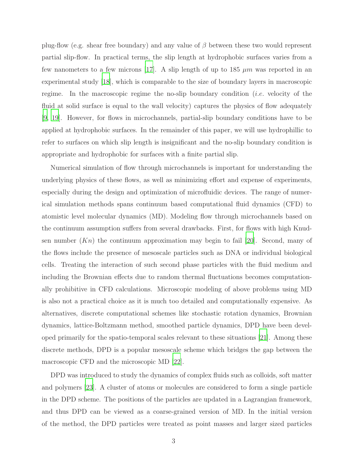plug-flow (e.g. shear free boundary) and any value of  $\beta$  between these two would represent partial slip-flow. In practical terms, the slip length at hydrophobic surfaces varies from a few nanometers to a few microns [\[17\]](#page-16-13). A slip length of up to 185  $\mu$ m was reported in an experimental study [\[18](#page-16-14)], which is comparable to the size of boundary layers in macroscopic regime. In the macroscopic regime the no-slip boundary condition (i.e. velocity of the fluid at solid surface is equal to the wall velocity) captures the physics of flow adequately [\[9](#page-16-6), [19](#page-16-15)]. However, for flows in microchannels, partial-slip boundary conditions have to be applied at hydrophobic surfaces. In the remainder of this paper, we will use hydrophillic to refer to surfaces on which slip length is insignificant and the no-slip boundary condition is appropriate and hydrophobic for surfaces with a finite partial slip.

Numerical simulation of flow through microchannels is important for understanding the underlying physics of these flows, as well as minimizing effort and expense of experiments, especially during the design and optimization of microfluidic devices. The range of numerical simulation methods spans continuum based computational fluid dynamics (CFD) to atomistic level molecular dynamics (MD). Modeling flow through microchannels based on the continuum assumption suffers from several drawbacks. First, for flows with high Knudsen number  $(Kn)$  the continuum approximation may begin to fail [\[20](#page-17-0)]. Second, many of the flows include the presence of mesoscale particles such as DNA or individual biological cells. Treating the interaction of such second phase particles with the fluid medium and including the Brownian effects due to random thermal fluctuations becomes computationally prohibitive in CFD calculations. Microscopic modeling of above problems using MD is also not a practical choice as it is much too detailed and computationally expensive. As alternatives, discrete computational schemes like stochastic rotation dynamics, Brownian dynamics, lattice-Boltzmann method, smoothed particle dynamics, DPD have been developed primarily for the spatio-temporal scales relevant to these situations [\[21](#page-17-1)]. Among these discrete methods, DPD is a popular mesoscale scheme which bridges the gap between the macroscopic CFD and the microscopic MD [\[22](#page-17-2)].

DPD was introduced to study the dynamics of complex fluids such as colloids, soft matter and polymers [\[23](#page-17-3)]. A cluster of atoms or molecules are considered to form a single particle in the DPD scheme. The positions of the particles are updated in a Lagrangian framework, and thus DPD can be viewed as a coarse-grained version of MD. In the initial version of the method, the DPD particles were treated as point masses and larger sized particles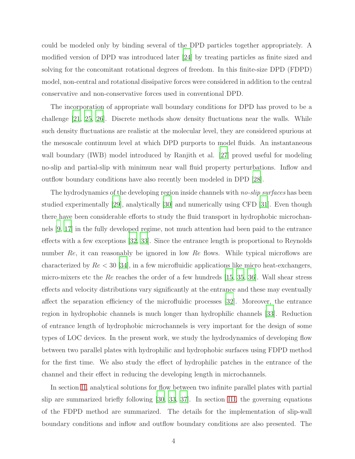could be modeled only by binding several of the DPD particles together appropriately. A modified version of DPD was introduced later [\[24\]](#page-17-4) by treating particles as finite sized and solving for the concomitant rotational degrees of freedom. In this finite-size DPD (FDPD) model, non-central and rotational dissipative forces were considered in addition to the central conservative and non-conservative forces used in conventional DPD.

The incorporation of appropriate wall boundary conditions for DPD has proved to be a challenge [\[21](#page-17-1), [25](#page-17-5), [26\]](#page-17-6). Discrete methods show density fluctuations near the walls. While such density fluctuations are realistic at the molecular level, they are considered spurious at the mesoscale continuum level at which DPD purports to model fluids. An instantaneous wall boundary (IWB) model introduced by Ranjith et al. [\[27\]](#page-17-7) proved useful for modeling no-slip and partial-slip with minimum near wall fluid property perturbations. Inflow and outflow boundary conditions have also recently been modeled in DPD [\[28](#page-17-8)].

The hydrodynamics of the developing region inside channels with no-slip surfaces has been studied experimentally [\[29\]](#page-17-9), analytically [\[30](#page-17-10)] and numerically using CFD [\[31\]](#page-17-11). Even though there have been considerable efforts to study the fluid transport in hydrophobic microchannels [\[9](#page-16-6), [17\]](#page-16-13) in the fully developed regime, not much attention had been paid to the entrance effects with a few exceptions [\[32,](#page-17-12) [33\]](#page-17-13). Since the entrance length is proportional to Reynolds number Re, it can reasonably be ignored in low Re flows. While typical microflows are characterized by  $Re < 30$  [\[34\]](#page-17-14), in a few microfluidic applications like micro heat-exchangers, micro-mixers etc the Re reaches the order of a few hundreds [\[15,](#page-16-11) [35,](#page-17-15) [36\]](#page-17-16). Wall shear stress effects and velocity distributions vary significantly at the entrance and these may eventually affect the separation efficiency of the microfluidic processes [\[32\]](#page-17-12). Moreover, the entrance region in hydrophobic channels is much longer than hydrophilic channels [\[33\]](#page-17-13). Reduction of entrance length of hydrophobic microchannels is very important for the design of some types of LOC devices. In the present work, we study the hydrodynamics of developing flow between two parallel plates with hydrophilic and hydrophobic surfaces using FDPD method for the first time. We also study the effect of hydrophilic patches in the entrance of the channel and their effect in reducing the developing length in microchannels.

In section [II,](#page-4-0) analytical solutions for flow between two infinite parallel plates with partial slip are summarized briefly following [\[30](#page-17-10), [33](#page-17-13), [37](#page-17-17)]. In section [III,](#page-5-0) the governing equations of the FDPD method are summarized. The details for the implementation of slip-wall boundary conditions and inflow and outflow boundary conditions are also presented. The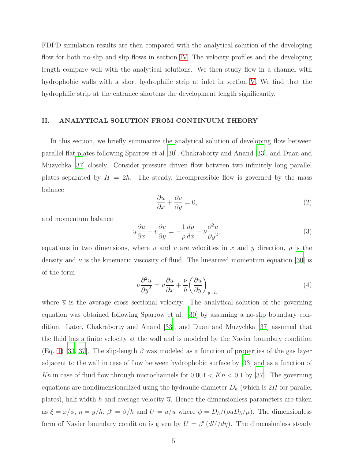FDPD simulation results are then compared with the analytical solution of the developing flow for both no-slip and slip flows in section [IV.](#page-9-0) The velocity profiles and the developing length compare well with the analytical solutions. We then study flow in a channel with hydrophobic walls with a short hydrophilic strip at inlet in section [V.](#page-11-0) We find that the hydrophilic strip at the entrance shortens the development length significantly.

# <span id="page-4-0"></span>II. ANALYTICAL SOLUTION FROM CONTINUUM THEORY

In this section, we briefly summarize the analytical solution of developing flow between parallel flat plates following Sparrow et al [\[30](#page-17-10)], Chakraborty and Anand [\[33\]](#page-17-13), and Duan and Muzychka [\[37](#page-17-17)] closely. Consider pressure driven flow between two infinitely long parallel plates separated by  $H = 2h$ . The steady, incompressible flow is governed by the mass balance

$$
\frac{\partial u}{\partial x} + \frac{\partial v}{\partial y} = 0,\t\t(2)
$$

and momentum balance

$$
u\frac{\partial u}{\partial x} + v\frac{\partial v}{\partial y} = -\frac{1}{\rho}\frac{dp}{dx} + \nu\frac{\partial^2 u}{\partial y^2},\tag{3}
$$

equations in two dimensions, where u and v are velocities in x and y direction,  $\rho$  is the density and  $\nu$  is the kinematic viscosity of fluid. The linearized momentum equation [\[30](#page-17-10)] is of the form

$$
\nu \frac{\partial^2 u}{\partial y^2} = \overline{u} \frac{\partial u}{\partial x} + \frac{\nu}{h} \left( \frac{\partial u}{\partial y} \right)_{y=h}
$$
\n(4)

where  $\bar{u}$  is the average cross sectional velocity. The analytical solution of the governing equation was obtained following Sparrow et al. [\[30](#page-17-10)] by assuming a no-slip boundary condition. Later, Chakraborty and Anand [\[33](#page-17-13)], and Duan and Muzychka [\[37\]](#page-17-17) assumed that the fluid has a finite velocity at the wall and is modeled by the Navier boundary condition (Eq. [1\)](#page-1-0) [\[33,](#page-17-13) [37\]](#page-17-17). The slip-length  $\beta$  was modeled as a function of properties of the gas layer adjacent to the wall in case of flow between hydrophobic surface by [\[33](#page-17-13)] and as a function of Kn in case of fluid flow through microchannels for  $0.001 < Kn < 0.1$  by [\[37\]](#page-17-17). The governing equations are nondimensionalized using the hydraulic diameter  $D_h$  (which is  $2H$  for parallel plates), half width h and average velocity  $\overline{u}$ . Hence the dimensionless parameters are taken as  $\xi = x/\phi$ ,  $\eta = y/h$ ,  $\beta' = \beta/h$  and  $U = u/\overline{u}$  where  $\phi = D_h/(\rho \overline{u}D_h/\mu)$ . The dimensionless form of Navier boundary condition is given by  $U = \beta' (dU/d\eta)$ . The dimensionless steady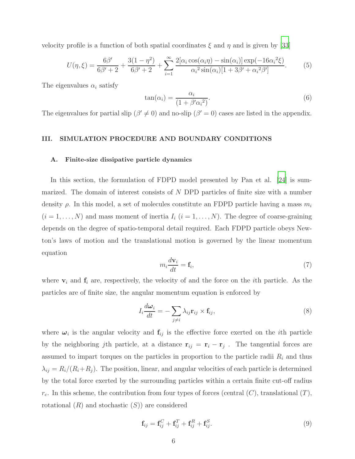velocity profile is a function of both spatial coordinates  $\xi$  and  $\eta$  and is given by [\[33](#page-17-13)]

<span id="page-5-1"></span>
$$
U(\eta,\xi) = \frac{6\beta'}{6\beta' + 2} + \frac{3(1-\eta^2)}{6\beta' + 2} + \sum_{i=1}^{\infty} \frac{2[\alpha_i \cos(\alpha_i \eta) - \sin(\alpha_i)] \exp(-16\alpha_i^2 \xi)}{\alpha_i^2 \sin(\alpha_i)[1 + 3\beta' + \alpha_i^2 \beta']}.
$$
(5)

The eigenvalues  $\alpha_i$  satisfy

<span id="page-5-2"></span>
$$
\tan(\alpha_i) = \frac{\alpha_i}{(1 + \beta' \alpha_i^2)}.
$$
\n(6)

The eigenvalues for partial slip ( $\beta' \neq 0$ ) and no-slip ( $\beta' = 0$ ) cases are listed in the appendix.

#### <span id="page-5-0"></span>III. SIMULATION PROCEDURE AND BOUNDARY CONDITIONS

#### A. Finite-size dissipative particle dynamics

In this section, the formulation of FDPD model presented by Pan et al. [\[24](#page-17-4)] is summarized. The domain of interest consists of N DPD particles of finite size with a number density  $\rho$ . In this model, a set of molecules constitute an FDPD particle having a mass  $m_i$  $(i = 1, \ldots, N)$  and mass moment of inertia  $I_i$   $(i = 1, \ldots, N)$ . The degree of coarse-graining depends on the degree of spatio-temporal detail required. Each FDPD particle obeys Newton's laws of motion and the translational motion is governed by the linear momentum equation

$$
m_i \frac{d\mathbf{v}_i}{dt} = \mathbf{f}_i,\tag{7}
$$

where  $v_i$  and  $f_i$  are, respectively, the velocity of and the force on the *i*th particle. As the particles are of finite size, the angular momentum equation is enforced by

$$
I_i \frac{d\omega_i}{dt} = -\sum_{j \neq i} \lambda_{ij} \mathbf{r}_{ij} \times \mathbf{f}_{ij},\tag{8}
$$

where  $\omega_i$  is the angular velocity and  $f_{ij}$  is the effective force exerted on the *i*th particle by the neighboring jth particle, at a distance  $\mathbf{r}_{ij} = \mathbf{r}_i - \mathbf{r}_j$ . The tangential forces are assumed to impart torques on the particles in proportion to the particle radii  $R_i$  and thus  $\lambda_{ij} = R_i/(R_i + R_j)$ . The position, linear, and angular velocities of each particle is determined by the total force exerted by the surrounding particles within a certain finite cut-off radius  $r_c$ . In this scheme, the contribution from four types of forces (central  $(C)$ , translational  $(T)$ , rotational  $(R)$  and stochastic  $(S)$  are considered

$$
\mathbf{f}_{ij} = \mathbf{f}_{ij}^C + \mathbf{f}_{ij}^T + \mathbf{f}_{ij}^R + \mathbf{f}_{ij}^S.
$$
 (9)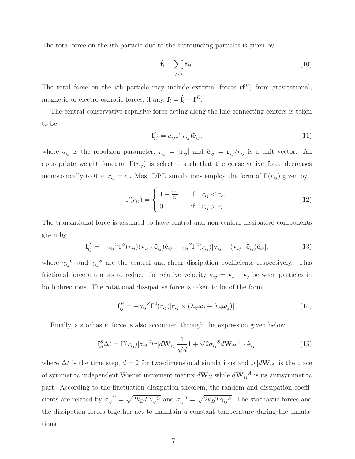The total force on the ith particle due to the surrounding particles is given by

$$
\tilde{\mathbf{f}}_i = \sum_{j \neq i} \mathbf{f}_{ij}.\tag{10}
$$

The total force on the *i*th particle may include external forces  $(f^E)$  from gravitational, magnetic or electro-osmotic forces, if any,  $f_i = \tilde{f}_i + f^E$ .

The central conservative repulsive force acting along the line connecting centers is taken to be

$$
\mathbf{f}_{ij}^C = a_{ij} \Gamma(r_{ij}) \hat{\mathbf{e}}_{ij},\tag{11}
$$

where  $a_{ij}$  is the repulsion parameter,  $r_{ij} = |\mathbf{r}_{ij}|$  and  $\hat{\mathbf{e}}_{ij} = \mathbf{r}_{ij}/r_{ij}$  is a unit vector. An appropriate weight function  $\Gamma(r_{ij})$  is selected such that the conservative force decreases monotonically to 0 at  $r_{ij} = r_c$ . Most DPD simulations employ the form of  $\Gamma(r_{ij})$  given by

$$
\Gamma(r_{ij}) = \begin{cases}\n1 - \frac{r_{ij}}{r_c}, & \text{if } r_{ij} < r_c, \\
0 & \text{if } r_{ij} > r_c.\n\end{cases} \tag{12}
$$

The translational force is assumed to have central and non-central dissipative components given by

$$
\mathbf{f}_{ij}^T = -\gamma_{ij}^C \Gamma^2(r_{ij}) (\mathbf{v}_{ij} \cdot \hat{\mathbf{e}}_{ij}) \hat{\mathbf{e}}_{ij} - \gamma_{ij}^S \Gamma^2(r_{ij}) [\mathbf{v}_{ij} - (\mathbf{v}_{ij} \cdot \hat{\mathbf{e}}_{ij}) \hat{\mathbf{e}}_{ij}],
$$
(13)

where  $\gamma_{ij}^C$  and  $\gamma_{ij}^S$  are the central and shear dissipation coefficients respectively. This frictional force attempts to reduce the relative velocity  $v_{ij} = v_i - v_j$  between particles in both directions. The rotational dissipative force is taken to be of the form

$$
\mathbf{f}_{ij}^R = -\gamma_{ij}^S \Gamma^2(r_{ij}) [\mathbf{r}_{ij} \times (\lambda_{ij} \boldsymbol{\omega}_i + \lambda_{ji} \boldsymbol{\omega}_j)]. \tag{14}
$$

Finally, a stochastic force is also accounted through the expression given below

$$
\mathbf{f}_{ij}^{S} \Delta t = \Gamma(r_{ij}) [\sigma_{ij}^{C} tr[d\mathbf{W}_{ij}] \frac{1}{\sqrt{d}} \mathbf{1} + \sqrt{2} \sigma_{ij}^{S} d\mathbf{W}_{ij}^{A}] \cdot \hat{\mathbf{e}}_{ij},
$$
(15)

where  $\Delta t$  is the time step,  $d = 2$  for two-dimensional simulations and  $tr[d\mathbf{W}_{ij}]$  is the trace of symmetric independent Wiener increment matrix  $d\mathbf{W}_{ij}$  while  $d\mathbf{W}_{ij}{}^A$  is its antisymmetric part. According to the fluctuation dissipation theorem, the random and dissipation coefficients are related by  $\sigma_{ij}{}^C = \sqrt{2k_B T \gamma_{ij}{}^C}$  and  $\sigma_{ij}{}^S = \sqrt{2k_B T \gamma_{ij}{}^S}$ . The stochastic forces and the dissipation forces together act to maintain a constant temperature during the simulations.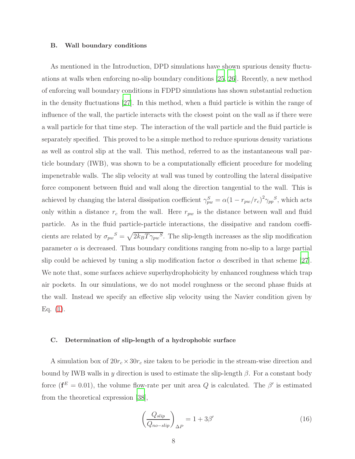#### <span id="page-7-0"></span>B. Wall boundary conditions

As mentioned in the Introduction, DPD simulations have shown spurious density fluctuations at walls when enforcing no-slip boundary conditions [\[25](#page-17-5), [26](#page-17-6)]. Recently, a new method of enforcing wall boundary conditions in FDPD simulations has shown substantial reduction in the density fluctuations [\[27\]](#page-17-7). In this method, when a fluid particle is within the range of influence of the wall, the particle interacts with the closest point on the wall as if there were a wall particle for that time step. The interaction of the wall particle and the fluid particle is separately specified. This proved to be a simple method to reduce spurious density variations as well as control slip at the wall. This method, referred to as the instantaneous wall particle boundary (IWB), was shown to be a computationally efficient procedure for modeling impenetrable walls. The slip velocity at wall was tuned by controlling the lateral dissipative force component between fluid and wall along the direction tangential to the wall. This is achieved by changing the lateral dissipation coefficient  $\gamma_{pw}^S = \alpha(1 - r_{pw}/r_c)^2 \gamma_{pp}^S$ , which acts only within a distance  $r_c$  from the wall. Here  $r_{pw}$  is the distance between wall and fluid particle. As in the fluid particle-particle interactions, the dissipative and random coefficients are related by  $\sigma_{pw}^S = \sqrt{2k_B T \gamma_{pw}^S}$ . The slip-length increases as the slip modification parameter  $\alpha$  is decreased. Thus boundary conditions ranging from no-slip to a large partial slip could be achieved by tuning a slip modification factor  $\alpha$  described in that scheme [\[27\]](#page-17-7). We note that, some surfaces achieve superhydrophobicity by enhanced roughness which trap air pockets. In our simulations, we do not model roughness or the second phase fluids at the wall. Instead we specify an effective slip velocity using the Navier condition given by Eq.  $(1)$ .

#### C. Determination of slip-length of a hydrophobic surface

A simulation box of  $20r_c \times 30r_c$  size taken to be periodic in the stream-wise direction and bound by IWB walls in y direction is used to estimate the slip-length  $\beta$ . For a constant body force ( $f^E = 0.01$ ), the volume flow-rate per unit area Q is calculated. The  $\beta'$  is estimated from the theoretical expression [\[38](#page-17-18)],

$$
\left(\frac{Q_{slip}}{Q_{no-slip}}\right)_{\Delta P} = 1 + 3\beta'\tag{16}
$$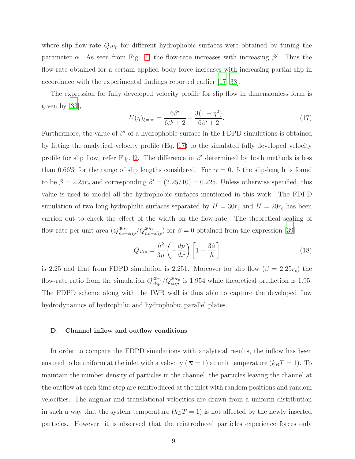where slip flow-rate  $Q_{slip}$  for different hydrophobic surfaces were obtained by tuning the parameter  $\alpha$ . As seen from Fig. [1,](#page-19-0) the flow-rate increases with increasing  $\beta'$ . Thus the flow-rate obtained for a certain applied body force increases with increasing partial slip in accordance with the experimental findings reported earlier [\[17](#page-16-13), [38\]](#page-17-18).

The expression for fully developed velocity profile for slip flow in dimensionless form is given by [\[33\]](#page-17-13),

<span id="page-8-0"></span>
$$
U(\eta)_{\xi=\infty} = \frac{6\beta'}{6\beta' + 2} + \frac{3(1-\eta^2)}{6\beta' + 2}.
$$
\n(17)

Furthermore, the value of  $\beta'$  of a hydrophobic surface in the FDPD simulations is obtained by fitting the analytical velocity profile (Eq. [17\)](#page-8-0) to the simulated fully developed velocity profile for slip flow, refer Fig. [2.](#page-19-1) The difference in  $\beta'$  determined by both methods is less than 0.66% for the range of slip lengths considered. For  $\alpha = 0.15$  the slip-length is found to be  $\beta = 2.25r_c$  and corresponding  $\beta' = (2.25/10) = 0.225$ . Unless otherwise specified, this value is used to model all the hydrophobic surfaces mentioned in this work. The FDPD simulation of two long hydrophilic surfaces separated by  $H = 30r_c$  and  $H = 20r_c$  has been carried out to check the effect of the width on the flow-rate. The theoretical scaling of flow-rate per unit area  $(Q_{no-slip}^{30r_c}/Q_{no-slip}^{20r_c})$  for  $\beta = 0$  obtained from the expression [\[39](#page-17-19)]

$$
Q_{slip} = \frac{h^2}{3\mu} \left(-\frac{dp}{dx}\right) \left[1 + \frac{3\beta}{h}\right]
$$
\n(18)

is 2.25 and that from FDPD simulation is 2.251. Moreover for slip flow  $(\beta = 2.25r_c)$  the flow-rate ratio from the simulation  $Q_{slip}^{30r_c}/Q_{slip}^{20r_c}$  is 1.954 while theoretical prediction is 1.95. The FDPD scheme along with the IWB wall is thus able to capture the developed flow hydrodynamics of hydrophilic and hydrophobic parallel plates.

# <span id="page-8-1"></span>D. Channel inflow and outflow conditions

In order to compare the FDPD simulations with analytical results, the inflow has been ensured to be uniform at the inlet with a velocity ( $\overline{u} = 1$ ) at unit temperature ( $k_B T = 1$ ). To maintain the number density of particles in the channel, the particles leaving the channel at the outflow at each time step are reintroduced at the inlet with random positions and random velocities. The angular and translational velocities are drawn from a uniform distribution in such a way that the system temperature  $(k_BT = 1)$  is not affected by the newly inserted particles. However, it is observed that the reintroduced particles experience forces only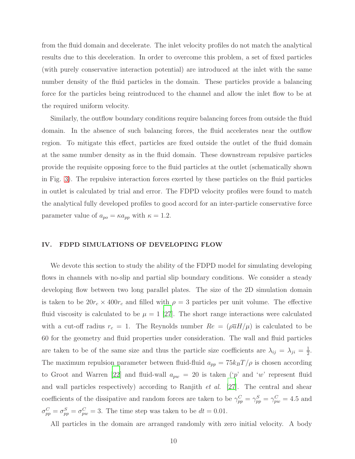from the fluid domain and decelerate. The inlet velocity profiles do not match the analytical results due to this deceleration. In order to overcome this problem, a set of fixed particles (with purely conservative interaction potential) are introduced at the inlet with the same number density of the fluid particles in the domain. These particles provide a balancing force for the particles being reintroduced to the channel and allow the inlet flow to be at the required uniform velocity.

Similarly, the outflow boundary conditions require balancing forces from outside the fluid domain. In the absence of such balancing forces, the fluid accelerates near the outflow region. To mitigate this effect, particles are fixed outside the outlet of the fluid domain at the same number density as in the fluid domain. These downstream repulsive particles provide the requisite opposing force to the fluid particles at the outlet (schematically shown in Fig. [3\)](#page-20-0). The repulsive interaction forces exerted by these particles on the fluid particles in outlet is calculated by trial and error. The FDPD velocity profiles were found to match the analytical fully developed profiles to good accord for an inter-particle conservative force parameter value of  $a_{po} = \kappa a_{pp}$  with  $\kappa = 1.2$ .

#### <span id="page-9-0"></span>IV. FDPD SIMULATIONS OF DEVELOPING FLOW

We devote this section to study the ability of the FDPD model for simulating developing flows in channels with no-slip and partial slip boundary conditions. We consider a steady developing flow between two long parallel plates. The size of the 2D simulation domain is taken to be  $20r_c \times 400r_c$  and filled with  $\rho = 3$  particles per unit volume. The effective fluid viscosity is calculated to be  $\mu = 1$  [\[27](#page-17-7)]. The short range interactions were calculated with a cut-off radius  $r_c = 1$ . The Reynolds number  $Re = (\rho \overline{u}H/\mu)$  is calculated to be 60 for the geometry and fluid properties under consideration. The wall and fluid particles are taken to be of the same size and thus the particle size coefficients are  $\lambda_{ij} = \lambda_{ji} = \frac{1}{2}$  $\frac{1}{2}$ . The maximum repulsion parameter between fluid-fluid  $a_{pp} = 75k_BT/\rho$  is chosen according to Groot and Warren [\[22\]](#page-17-2) and fluid-wall  $a_{pw} = 20$  is taken ('p' and 'w' represent fluid and wall particles respectively) according to Ranjith et al. [\[27\]](#page-17-7). The central and shear coefficients of the dissipative and random forces are taken to be  $\gamma_{pp}^C = \gamma_{pp}^S = \gamma_{pw}^C = 4.5$  and  $\sigma_{pp}^C = \sigma_{pp}^S = \sigma_{pw}^C = 3$ . The time step was taken to be  $dt = 0.01$ .

All particles in the domain are arranged randomly with zero initial velocity. A body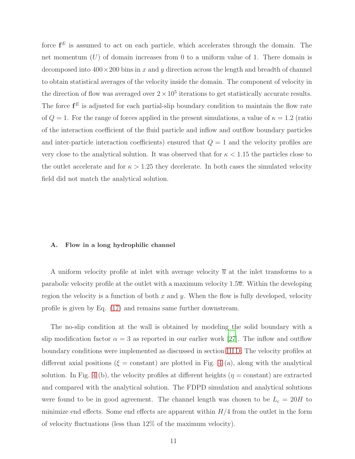force  $f^E$  is assumed to act on each particle, which accelerates through the domain. The net momentum  $(U)$  of domain increases from 0 to a uniform value of 1. There domain is decomposed into  $400 \times 200$  bins in x and y direction across the length and breadth of channel to obtain statistical averages of the velocity inside the domain. The component of velocity in the direction of flow was averaged over  $2 \times 10^5$  iterations to get statistically accurate results. The force  $f^E$  is adjusted for each partial-slip boundary condition to maintain the flow rate of  $Q = 1$ . For the range of forces applied in the present simulations, a value of  $\kappa = 1.2$  (ratio of the interaction coefficient of the fluid particle and inflow and outflow boundary particles and inter-particle interaction coefficients) ensured that  $Q = 1$  and the velocity profiles are very close to the analytical solution. It was observed that for  $\kappa < 1.15$  the particles close to the outlet accelerate and for  $\kappa > 1.25$  they decelerate. In both cases the simulated velocity field did not match the analytical solution.

#### A. Flow in a long hydrophilic channel

A uniform velocity profile at inlet with average velocity  $\overline{u}$  at the inlet transforms to a parabolic velocity profile at the outlet with a maximum velocity  $1.5\overline{u}$ . Within the developing region the velocity is a function of both  $x$  and  $y$ . When the flow is fully developed, velocity profile is given by Eq. [\(17\)](#page-8-0) and remains same further downstream.

The no-slip condition at the wall is obtained by modeling the solid boundary with a slip modification factor  $\alpha = 3$  as reported in our earlier work [\[27\]](#page-17-7). The inflow and outflow boundary conditions were implemented as discussed in section [III D.](#page-8-1) The velocity profiles at different axial positions ( $\xi$  = constant) are plotted in Fig. [4](#page-20-1) (a), along with the analytical solution. In Fig. [4](#page-20-1) (b), the velocity profiles at different heights ( $\eta$  = constant) are extracted and compared with the analytical solution. The FDPD simulation and analytical solutions were found to be in good agreement. The channel length was chosen to be  $L_c = 20H$  to minimize end effects. Some end effects are apparent within  $H/4$  from the outlet in the form of velocity fluctuations (less than 12% of the maximum velocity).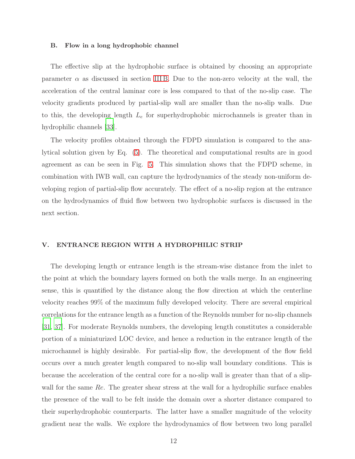#### B. Flow in a long hydrophobic channel

The effective slip at the hydrophobic surface is obtained by choosing an appropriate parameter  $\alpha$  as discussed in section IIIB. Due to the non-zero velocity at the wall, the acceleration of the central laminar core is less compared to that of the no-slip case. The velocity gradients produced by partial-slip wall are smaller than the no-slip walls. Due to this, the developing length  $L_e$  for superhydrophobic microchannels is greater than in hydrophilic channels [\[33](#page-17-13)].

The velocity profiles obtained through the FDPD simulation is compared to the analytical solution given by Eq. [\(5\)](#page-5-1). The theoretical and computational results are in good agreement as can be seen in Fig. [5.](#page-21-0) This simulation shows that the FDPD scheme, in combination with IWB wall, can capture the hydrodynamics of the steady non-uniform developing region of partial-slip flow accurately. The effect of a no-slip region at the entrance on the hydrodynamics of fluid flow between two hydrophobic surfaces is discussed in the next section.

# <span id="page-11-0"></span>V. ENTRANCE REGION WITH A HYDROPHILIC STRIP

The developing length or entrance length is the stream-wise distance from the inlet to the point at which the boundary layers formed on both the walls merge. In an engineering sense, this is quantified by the distance along the flow direction at which the centerline velocity reaches 99% of the maximum fully developed velocity. There are several empirical correlations for the entrance length as a function of the Reynolds number for no-slip channels [\[31](#page-17-11), [37\]](#page-17-17). For moderate Reynolds numbers, the developing length constitutes a considerable portion of a miniaturized LOC device, and hence a reduction in the entrance length of the microchannel is highly desirable. For partial-slip flow, the development of the flow field occurs over a much greater length compared to no-slip wall boundary conditions. This is because the acceleration of the central core for a no-slip wall is greater than that of a slipwall for the same Re. The greater shear stress at the wall for a hydrophilic surface enables the presence of the wall to be felt inside the domain over a shorter distance compared to their superhydrophobic counterparts. The latter have a smaller magnitude of the velocity gradient near the walls. We explore the hydrodynamics of flow between two long parallel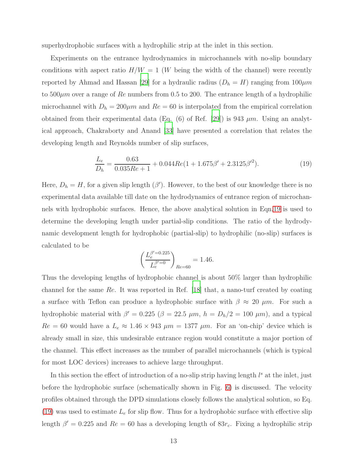superhydrophobic surfaces with a hydrophilic strip at the inlet in this section.

Experiments on the entrance hydrodynamics in microchannels with no-slip boundary conditions with aspect ratio  $H/W = 1$  (*W* being the width of the channel) were recently reported by Ahmad and Hassan [\[29](#page-17-9)] for a hydraulic radius  $(D_h = H)$  ranging from  $100 \mu m$ to  $500\mu m$  over a range of Re numbers from 0.5 to 200. The entrance length of a hydrophilic microchannel with  $D_h = 200 \mu m$  and  $Re = 60$  is interpolated from the empirical correlation obtained from their experimental data (Eq. (6) of Ref. [\[29\]](#page-17-9)) is 943  $\mu$ m. Using an analytical approach, Chakraborty and Anand [\[33](#page-17-13)] have presented a correlation that relates the developing length and Reynolds number of slip surfaces,

<span id="page-12-0"></span>
$$
\frac{L_e}{D_h} = \frac{0.63}{0.035Re + 1} + 0.044Re(1 + 1.675\beta' + 2.3125\beta'^2). \tag{19}
$$

Here,  $D_h = H$ , for a given slip length  $(\beta')$ . However, to the best of our knowledge there is no experimental data available till date on the hydrodynamics of entrance region of microchannels with hydrophobic surfaces. Hence, the above analytical solution in Eqn[.19](#page-12-0) is used to determine the developing length under partial-slip conditions. The ratio of the hydrodynamic development length for hydrophobic (partial-slip) to hydrophilic (no-slip) surfaces is calculated to be

$$
\left(\frac{L_e^{\beta'=0.225}}{L_e^{\beta'=0}}\right)_{Re=60} = 1.46.
$$

Thus the developing lengths of hydrophobic channel is about 50% larger than hydrophilic channel for the same  $Re$ . It was reported in Ref. [\[18](#page-16-14)] that, a nano-turf created by coating a surface with Teflon can produce a hydrophobic surface with  $\beta \approx 20 \ \mu m$ . For such a hydrophobic material with  $\beta' = 0.225$  ( $\beta = 22.5 \ \mu m$ ,  $h = D_h/2 = 100 \ \mu m$ ), and a typical  $Re = 60$  would have a  $L_e \approx 1.46 \times 943 \ \mu m = 1377 \ \mu m$ . For an 'on-chip' device which is already small in size, this undesirable entrance region would constitute a major portion of the channel. This effect increases as the number of parallel microchannels (which is typical for most LOC devices) increases to achieve large throughput.

In this section the effect of introduction of a no-slip strip having length  $l^s$  at the inlet, just before the hydrophobic surface (schematically shown in Fig. [6\)](#page-21-1) is discussed. The velocity profiles obtained through the DPD simulations closely follows the analytical solution, so Eq. [\(19\)](#page-12-0) was used to estimate  $L_e$  for slip flow. Thus for a hydrophobic surface with effective slip length  $\beta' = 0.225$  and  $Re = 60$  has a developing length of  $83r_c$ . Fixing a hydrophilic strip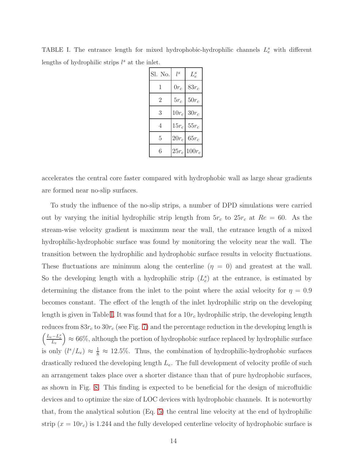<span id="page-13-0"></span>TABLE I. The entrance length for mixed hydrophobic-hydrophilic channels  $L_e^s$  with different lengths of hydrophilic strips  $l^s$  at the inlet.

| Sl. No.        | $l^s$   | $L^s_e$  |
|----------------|---------|----------|
| 1              | $0r_c$  | $83r_c$  |
| $\overline{2}$ | $5r_c$  | $50r_c$  |
| 3              | $10r_c$ | $30r_c$  |
| 4              | $15r_c$ | $55r_c$  |
| 5              | $20r_c$ | $65r_c$  |
| 6              | $25r_c$ | $100r_c$ |

accelerates the central core faster compared with hydrophobic wall as large shear gradients are formed near no-slip surfaces.

To study the influence of the no-slip strips, a number of DPD simulations were carried out by varying the initial hydrophilic strip length from  $5r_c$  to  $25r_c$  at  $Re = 60$ . As the stream-wise velocity gradient is maximum near the wall, the entrance length of a mixed hydrophilic-hydrophobic surface was found by monitoring the velocity near the wall. The transition between the hydrophilic and hydrophobic surface results in velocity fluctuations. These fluctuations are minimum along the centerline  $(\eta = 0)$  and greatest at the wall. So the developing length with a hydrophilic strip  $(L_e^s)$  at the entrance, is estimated by determining the distance from the inlet to the point where the axial velocity for  $\eta = 0.9$ becomes constant. The effect of the length of the inlet hydrophilic strip on the developing length is given in Table [I.](#page-13-0) It was found that for a  $10r_c$  hydrophilic strip, the developing length reduces from  $83r_c$  to  $30r_c$  (see Fig. [7\)](#page-22-0) and the percentage reduction in the developing length is  $\left(\frac{L_e - L_e^s}{L_e}\right)$  $\big\}\approx 66\%$ , although the portion of hydrophobic surface replaced by hydrophilic surface is only  $(l^{s}/L_{e}) \approx \frac{1}{8} \approx 12.5\%$ . Thus, the combination of hydrophilic-hydrophobic surfaces drastically reduced the developing length  $L_e$ . The full development of velocity profile of such an arrangement takes place over a shorter distance than that of pure hydrophobic surfaces, as shown in Fig. [8.](#page-23-0) This finding is expected to be beneficial for the design of microfluidic devices and to optimize the size of LOC devices with hydrophobic channels. It is noteworthy that, from the analytical solution (Eq. [5\)](#page-5-1) the central line velocity at the end of hydrophilic strip  $(x = 10r_c)$  is 1.244 and the fully developed centerline velocity of hydrophobic surface is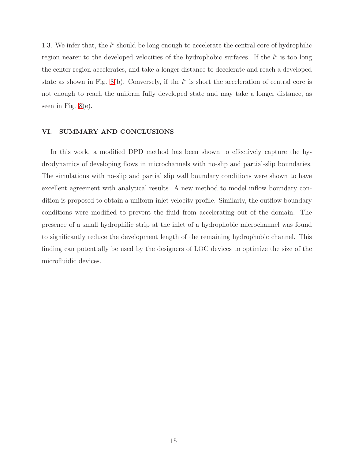1.3. We infer that, the  $l^s$  should be long enough to accelerate the central core of hydrophilic region nearer to the developed velocities of the hydrophobic surfaces. If the  $l^s$  is too long the center region accelerates, and take a longer distance to decelerate and reach a developed state as shown in Fig. [8\(](#page-23-0)b). Conversely, if the  $l^s$  is short the acceleration of central core is not enough to reach the uniform fully developed state and may take a longer distance, as seen in Fig. [8\(](#page-23-0)e).

# VI. SUMMARY AND CONCLUSIONS

In this work, a modified DPD method has been shown to effectively capture the hydrodynamics of developing flows in microchannels with no-slip and partial-slip boundaries. The simulations with no-slip and partial slip wall boundary conditions were shown to have excellent agreement with analytical results. A new method to model inflow boundary condition is proposed to obtain a uniform inlet velocity profile. Similarly, the outflow boundary conditions were modified to prevent the fluid from accelerating out of the domain. The presence of a small hydrophilic strip at the inlet of a hydrophobic microchannel was found to significantly reduce the development length of the remaining hydrophobic channel. This finding can potentially be used by the designers of LOC devices to optimize the size of the microfluidic devices.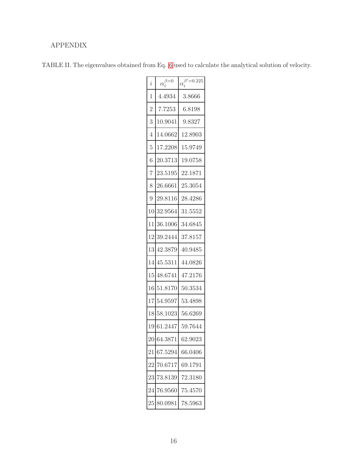# APPENDIX

| $\dot{i}$      | $\alpha_i^{\beta=0}$ | $\alpha_i^{\beta'=0.225}$ |
|----------------|----------------------|---------------------------|
| 1              | 4.4934               | 3.8666                    |
| $\overline{2}$ | 7.7253               | 6.8198                    |
| 3              | 10.9041              | 9.8327                    |
| 4              | 14.0662              | 12.8903                   |
| 5              | 17.2208              | 15.9749                   |
| 6              | 20.3713              | 19.0758                   |
| 7              | 23.5195              | 22.1871                   |
| 8              | 26.6661              | 25.3054                   |
| 9              | 29.8116              | 28.4286                   |
| 10             | 32.9564              | 31.5552                   |
| 11             | 36.1006              | 34.6845                   |
|                | 12 39 2444           | 37.8157                   |
| 13             | 42.3879              | 40.9485                   |
| 14             | 45.5311              | 44.0826                   |
| 15             | 48.6741              | 47.2176                   |
| 16             | 51.8170              | 50.3534                   |
| 17             | 54.9597              | 53.4898                   |
| 18             | 58.1023              | 56.6269                   |
| 19             | 61.2447              | 59.7644                   |
| 20             | 64.3871              | 62.9023                   |
| 21             | 67.5294              | 66.0406                   |
| 22             | 70.6717              | 69.1791                   |
| 23             | 73.8139              | 72.3180                   |
| 24             | 76.9560              | 75.4570                   |
| 25             | 80.0981              | 78.5963                   |

TABLE II. The eigenvalues obtained from Eq. [6](#page-5-2) used to calculate the analytical solution of velocity.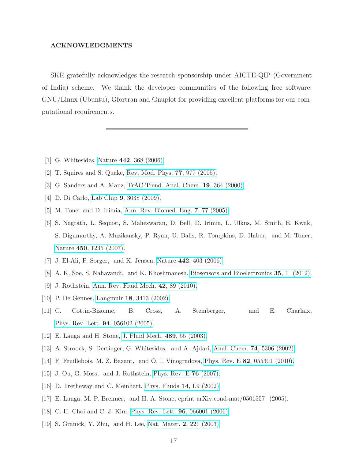## ACKNOWLEDGMENTS

SKR gratefully acknowledges the research sponsorship under AICTE-QIP (Government of India) scheme. We thank the developer communities of the following free software: GNU/Linux (Ubuntu), Gfortran and Gnuplot for providing excellent platforms for our computational requirements.

- <span id="page-16-0"></span>[1] G. Whitesides, Nature 442[, 368 \(2006\).](http://www.scopus.com/inward/record.url?eid=2-s2.0-33747117373&partnerID=40&md5=4fcdedc3519da21fbcdcad03cc910085)
- <span id="page-16-2"></span><span id="page-16-1"></span>[2] T. Squires and S. Quake, [Rev. Mod. Phys.](http://www.scopus.com/inward/record.url?eid=2-s2.0-24944498780&partnerID=40&md5=d655d1dde210c2f2986dd662ad5e596c) 77, 977 (2005).
- [3] G. Sanders and A. Manz, [TrAC-Trend. Anal. Chem.](http://www.scopus.com/inward/record.url?eid=2-s2.0-0034213023&partnerID=40&md5=1fc4c1fc9b92b5950231ffe394422a88) 19, 364 (2000).
- [4] D. Di Carlo, Lab Chip 9[, 3038 \(2009\).](http://www.scopus.com/inward/record.url?eid=2-s2.0-70350464298&partnerID=40&md5=2538bd68a4555308d2fe66f460be5ce0)
- <span id="page-16-4"></span>[5] M. Toner and D. Irimia, [Ann. Rev. Biomed. Eng.](http://www.scopus.com/inward/record.url?eid=2-s2.0-23844533295&partnerID=40&md5=0d7ff5bea5e0abf172bf5108a9a6bc96) 7, 77 (2005).
- [6] S. Nagrath, L. Sequist, S. Maheswaran, D. Bell, D. Irimia, L. Ulkus, M. Smith, E. Kwak, S. Digumarthy, A. Muzikansky, P. Ryan, U. Balis, R. Tompkins, D. Haber, and M. Toner, Nature 450[, 1235 \(2007\).](http://www.scopus.com/inward/record.url?eid=2-s2.0-37549002543&partnerID=40&md5=e8c3b6cbc02acb6ce67e57f92d8a1f0d)
- <span id="page-16-3"></span>[7] J. El-Ali, P. Sorger, and K. Jensen, Nature 442[, 403 \(2006\).](http://www.scopus.com/inward/record.url?eid=2-s2.0-33747116681&partnerID=40&md5=321021a5b9b875043957c4f566c116f8)
- <span id="page-16-5"></span>[8] A. K. Soe, S. Nahavandi, and K. Khoshmanesh, [Biosensors and Bioelectronics](http://dx.doi.org/10.1016/j.bios.2012.02.012) 35, 1 (2012).
- <span id="page-16-6"></span>[9] J. Rothstein, [Ann. Rev. Fluid Mech.](http://www.scopus.com/inward/record.url?eid=2-s2.0-77952827224&partnerID=40&md5=2cd1643ca8ebac6a80b09fdcd8445142) 42, 89 (2010).
- <span id="page-16-7"></span>[10] P. De Gennes, Langmuir 18[, 3413 \(2002\).](http://www.scopus.com/inward/record.url?eid=2-s2.0-0037198210&partnerID=40&md5=8974a0150b6155ab012e0b545e7347d5)
- <span id="page-16-8"></span>[11] C. Cottin-Bizonne, B. Cross, A. Steinberger, and E. Charlaix, [Phys. Rev. Lett.](http://link.aps.org/doi/10.1103/PhysRevLett.94.056102) 94, 056102 (2005).
- <span id="page-16-9"></span>[12] E. Lauga and H. Stone, [J. Fluid Mech.](http://www.scopus.com/inward/record.url?eid=2-s2.0-0141792538&partnerID=40&md5=93e9cb9e4182e94ad2077c2dda09dac8) 489, 55 (2003).
- <span id="page-16-10"></span>[13] A. Stroock, S. Dertinger, G. Whitesides, and A. Ajdari, Anal. Chem. 74[, 5306 \(2002\).](http://www.scopus.com/inward/record.url?eid=2-s2.0-0037108942&partnerID=40&md5=77191e68173ba35e1d051e6b3c32660b)
- [14] F. Feuillebois, M. Z. Bazant, and O. I. Vinogradova, Phys. Rev. E 82[, 055301 \(2010\).](http://dx.doi.org/10.1103/PhysRevE.82.055301)
- <span id="page-16-11"></span>[15] J. Ou, G. Moss, and J. Rothstein, [Phys. Rev. E](http://www.scopus.com/inward/record.url?eid=2-s2.0-34547209631&partnerID=40&md5=9a05215a5e654692bdb45df66787e465) 76 (2007).
- <span id="page-16-12"></span>[16] D. Tretheway and C. Meinhart, [Phys. Fluids](http://www.scopus.com/inward/record.url?eid=2-s2.0-0036503701&partnerID=40&md5=73e6faa04380e64799f03db00c433a85) 14, L9 (2002).
- <span id="page-16-13"></span>[17] E. Lauga, M. P. Brenner, and H. A. Stone, eprint arXiv:cond-mat/0501557 (2005).
- <span id="page-16-14"></span>[18] C.-H. Choi and C.-J. Kim, [Phys. Rev. Lett.](http://dx.doi.org/10.1103/PhysRevLett.96.066001) **96**, 066001 (2006).
- <span id="page-16-15"></span>[19] S. Granick, Y. Zhu, and H. Lee, Nat. Mater. 2[, 221 \(2003\).](http://www.scopus.com/inward/record.url?eid=2-s2.0-0038206540&partnerID=40&md5=8b8999a1497cd7c82e77eeab96e0e9c7)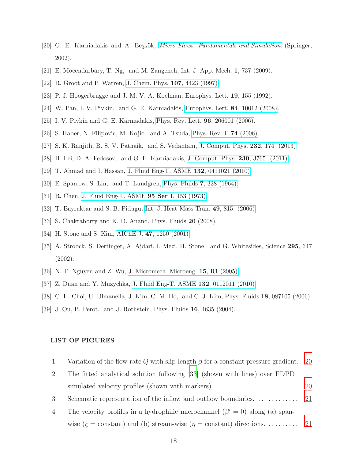- <span id="page-17-0"></span>[20] G. E. Karniadakis and A. Beskök, *[Micro Flows: Fundamentals and Simulation](http://books.google.co.in/books?id=0UM1SwAACAAJ)* (Springer, 2002).
- <span id="page-17-1"></span>[21] E. Moeendarbary, T. Ng, and M. Zangeneh, Int. J. App. Mech. 1, 737 (2009).
- <span id="page-17-3"></span><span id="page-17-2"></span>[22] R. Groot and P. Warren, [J. Chem. Phys.](http://www.scopus.com/inward/record.url?eid=2-s2.0-5544242655&partnerID=40&md5=a3133f58a66dcfdcc55f240ce3a5db77) 107, 4423 (1997).
- <span id="page-17-4"></span>[23] P. J. Hoogerbrugge and J. M. V. A. Koelman, Europhys. Lett. 19, 155 (1992).
- <span id="page-17-5"></span>[24] W. Pan, I. V. Pivkin, and G. E. Karniadakis, [Europhys. Lett.](http://stacks.iop.org/0295-5075/84/i=1/a=10012) 84, 10012 (2008).
- <span id="page-17-6"></span>[25] I. V. Pivkin and G. E. Karniadakis, [Phys. Rev. Lett.](http://dx.doi.org/10.1103/PhysRevLett.96.206001) 96, 206001 (2006).
- <span id="page-17-7"></span>[26] S. Haber, N. Filipovic, M. Kojic, and A. Tsuda, [Phys. Rev. E](http://www.scopus.com/inward/record.url?eid=2-s2.0-33749494783&partnerID=40&md5=93c9ef9c41248f08400819a387eb23d0) 74 (2006).
- <span id="page-17-8"></span>[27] S. K. Ranjith, B. S. V. Patnaik, and S. Vedantam, [J. Comput. Phys.](http://dx.doi.org/10.1016/j.jcp.2012.07.046) 232, 174 (2013).
- <span id="page-17-9"></span>[28] H. Lei, D. A. Fedosov, and G. E. Karniadakis, [J. Comput. Phys.](http://www.sciencedirect.com/science/article/pii/S0021999111000854) 230, 3765 (2011).
- <span id="page-17-10"></span>[29] T. Ahmad and I. Hassan, [J. Fluid Eng-T. ASME](http://www.scopus.com/inward/record.url?eid=2-s2.0-77955297976&partnerID=40&md5=fb909f8816910120d97d6e27734107f2) 132, 0411021 (2010).
- <span id="page-17-11"></span>[30] E. Sparrow, S. Lin, and T. Lundgren, [Phys. Fluids](http://www.scopus.com/inward/record.url?eid=2-s2.0-0001318455&partnerID=40&md5=d71c3aaa3d8d0bbdf686b392a4cfab3b) 7, 338 (1964).
- <span id="page-17-12"></span>[31] R. Chen, [J. Fluid Eng-T. ASME](http://www.scopus.com/inward/record.url?eid=2-s2.0-0015599958&partnerID=40&md5=8ba8a635e73289203b1f288fd0607280) 95 Ser I, 153 (1973).
- <span id="page-17-13"></span>[32] T. Bayraktar and S. B. Pidugu, [Int. J. Heat Mass Tran.](http://dx.doi.org/10.1016/j.ijheatmasstransfer.2005.11.007) 49, 815 (2006).
- [33] S. Chakraborty and K. D. Anand, Phys. Fluids 20 (2008).
- <span id="page-17-15"></span><span id="page-17-14"></span>[34] H. Stone and S. Kim, AIChE J. 47[, 1250 \(2001\).](http://www.scopus.com/inward/record.url?eid=2-s2.0-0000032056&partnerID=40&md5=748229169b9743d4e27f0a9658cb285b)
- [35] A. Stroock, S. Dertinger, A. Ajdari, I. Mezi, H. Stone, and G. Whitesides, Science 295, 647 (2002).
- <span id="page-17-16"></span>[36] N.-T. Nguyen and Z. Wu, [J. Micromech. Microeng.](http://www.scopus.com/inward/record.url?eid=2-s2.0-14244265622&partnerID=40&md5=a94ffb0693a62226b6a08b117ad743cd) 15, R1 (2005).
- <span id="page-17-18"></span><span id="page-17-17"></span>[37] Z. Duan and Y. Muzychka, [J. Fluid Eng-T. ASME](http://www.scopus.com/inward/record.url?eid=2-s2.0-77953335643&partnerID=40&md5=e12d517a721f8851149afa80560ec7d8) 132, 0112011 (2010).
- [38] C.-H. Choi, U. Ulmanella, J. Kim, C.-M. Ho, and C.-J. Kim, Phys. Fluids 18, 087105 (2006).
- <span id="page-17-19"></span>[39] J. Ou, B. Perot, and J. Rothstein, Phys. Fluids 16, 4635 (2004).

#### LIST OF FIGURES

- 1 Variation of the flow-rate Q with slip-length  $\beta$  for a constant pressure gradient. [20](#page-19-0)
- 2 The fitted analytical solution following [\[33](#page-17-13)] (shown with lines) over FDPD simulated velocity profiles (shown with markers). . . . . . . . . . . . . . . . . . . . . . . . . [20](#page-19-1)
- 3 Schematic representation of the inflow and outflow boundaries. . . . . . . . . . . . . [21](#page-20-0)
- 4 The velocity profiles in a hydrophilic microchannel  $(\beta' = 0)$  along (a) spanwise ( $\xi$  = constant) and (b) stream-wise ( $\eta$  = constant) directions. . . . . . . . . . . [21](#page-20-1)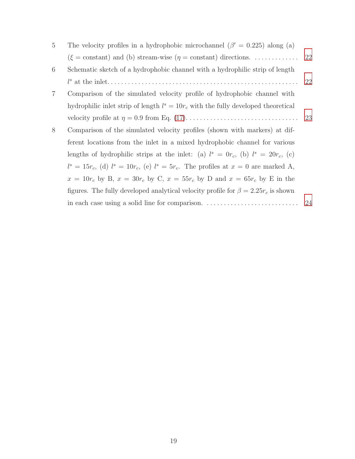| $5^{\circ}$    | The velocity profiles in a hydrophobic microchannel ( $\beta' = 0.225$ ) along (a)           |    |
|----------------|----------------------------------------------------------------------------------------------|----|
|                |                                                                                              |    |
| 6              | Schematic sketch of a hydrophobic channel with a hydrophilic strip of length                 |    |
|                |                                                                                              | 22 |
| $\overline{7}$ | Comparison of the simulated velocity profile of hydrophobic channel with                     |    |
|                | hydrophilic inlet strip of length $l^s = 10r_c$ with the fully developed theoretical         |    |
|                |                                                                                              | 23 |
| 8              | Comparison of the simulated velocity profiles (shown with markers) at dif-                   |    |
|                | ferent locations from the inlet in a mixed hydrophobic channel for various                   |    |
|                | lengths of hydrophilic strips at the inlet: (a) $l^s = 0r_c$ , (b) $l^s = 20r_c$ , (c)       |    |
|                | $l^s = 15r_c$ , (d) $l^s = 10r_c$ , (e) $l^s = 5r_c$ . The profiles at $x = 0$ are marked A, |    |
|                | $x = 10r_c$ by B, $x = 30r_c$ by C, $x = 55r_c$ by D and $x = 65r_c$ by E in the             |    |
|                | figures. The fully developed analytical velocity profile for $\beta = 2.25r_c$ is shown      |    |
|                | in each case using a solid line for comparison.                                              | 24 |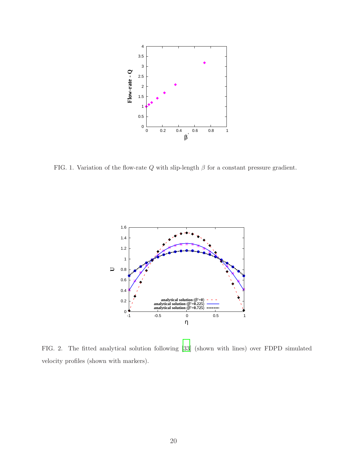

<span id="page-19-0"></span>FIG. 1. Variation of the flow-rate  $Q$  with slip-length  $\beta$  for a constant pressure gradient.



<span id="page-19-1"></span>FIG. 2. The fitted analytical solution following [\[33](#page-17-13)] (shown with lines) over FDPD simulated velocity profiles (shown with markers).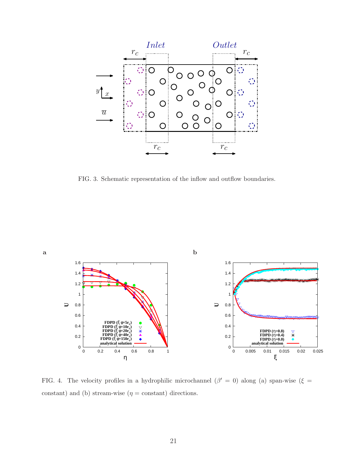

<span id="page-20-0"></span>FIG. 3. Schematic representation of the inflow and outflow boundaries.



<span id="page-20-1"></span>FIG. 4. The velocity profiles in a hydrophilic microchannel  $(\beta' = 0)$  along (a) span-wise  $(\xi = 0)$ constant) and (b) stream-wise  $(\eta = \text{constant})$  directions.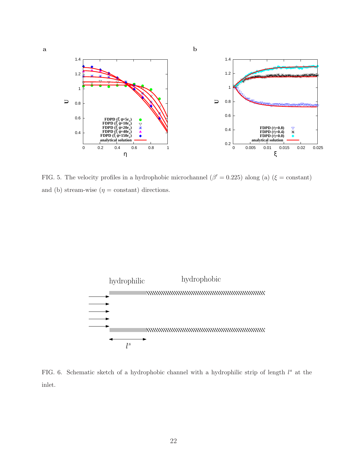

<span id="page-21-0"></span>FIG. 5. The velocity profiles in a hydrophobic microchannel  $(\beta' = 0.225)$  along (a) ( $\xi = constant$ ) and (b) stream-wise  $(\eta = constant)$  directions.



<span id="page-21-1"></span>FIG. 6. Schematic sketch of a hydrophobic channel with a hydrophilic strip of length  $l^s$  at the inlet.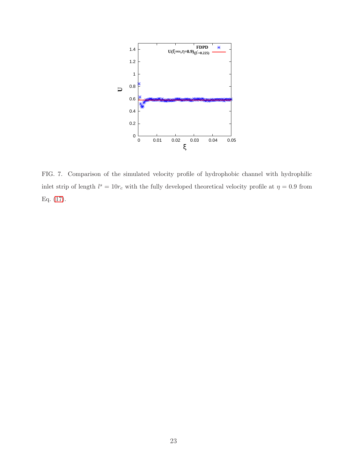

<span id="page-22-0"></span>FIG. 7. Comparison of the simulated velocity profile of hydrophobic channel with hydrophilic inlet strip of length  $l^s = 10r_c$  with the fully developed theoretical velocity profile at  $\eta = 0.9$  from Eq. [\(17\)](#page-8-0).